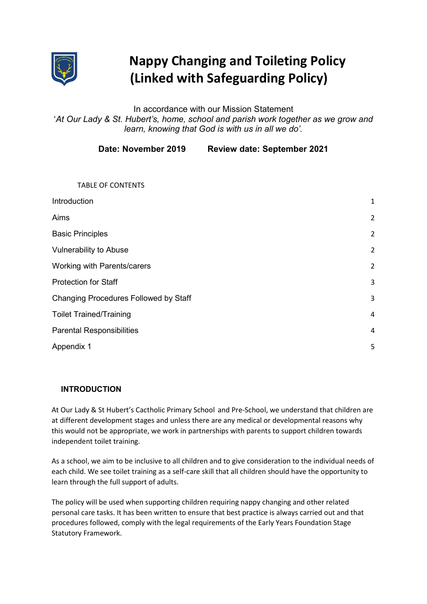

# Nappy Changing and Toileting Policy (Linked with Safeguarding Policy)

# In accordance with our Mission Statement 'At Our Lady & St. Hubert's, home, school and parish work together as we grow and learn, knowing that God is with us in all we do'.

Date: November 2019 Review date: September 2021

| <b>TABLE OF CONTENTS</b>                     |                |
|----------------------------------------------|----------------|
| Introduction                                 | $\mathbf{1}$   |
| Aims                                         | $\overline{2}$ |
| <b>Basic Principles</b>                      | $\overline{2}$ |
| <b>Vulnerability to Abuse</b>                | $\overline{2}$ |
| <b>Working with Parents/carers</b>           | $\overline{2}$ |
| <b>Protection for Staff</b>                  | 3              |
| <b>Changing Procedures Followed by Staff</b> | 3              |
| <b>Toilet Trained/Training</b>               | 4              |
| <b>Parental Responsibilities</b>             | 4              |
| Appendix 1                                   | 5              |
|                                              |                |

## INTRODUCTION

At Our Lady & St Hubert's Cactholic Primary School and Pre-School, we understand that children are at different development stages and unless there are any medical or developmental reasons why this would not be appropriate, we work in partnerships with parents to support children towards independent toilet training.

As a school, we aim to be inclusive to all children and to give consideration to the individual needs of each child. We see toilet training as a self-care skill that all children should have the opportunity to learn through the full support of adults.

The policy will be used when supporting children requiring nappy changing and other related personal care tasks. It has been written to ensure that best practice is always carried out and that procedures followed, comply with the legal requirements of the Early Years Foundation Stage Statutory Framework.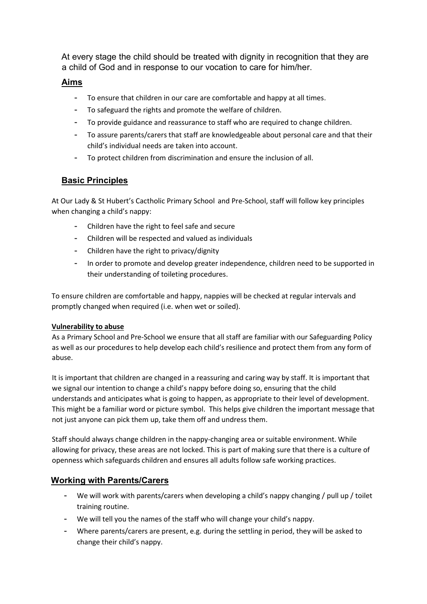At every stage the child should be treated with dignity in recognition that they are a child of God and in response to our vocation to care for him/her.

# Aims

- To ensure that children in our care are comfortable and happy at all times.
- To safeguard the rights and promote the welfare of children.
- To provide guidance and reassurance to staff who are required to change children.
- To assure parents/carers that staff are knowledgeable about personal care and that their child's individual needs are taken into account.
- To protect children from discrimination and ensure the inclusion of all.

# **Basic Principles**

At Our Lady & St Hubert's Cactholic Primary School and Pre-School, staff will follow key principles when changing a child's nappy:

- Children have the right to feel safe and secure
- Children will be respected and valued as individuals
- Children have the right to privacy/dignity
- In order to promote and develop greater independence, children need to be supported in their understanding of toileting procedures.

To ensure children are comfortable and happy, nappies will be checked at regular intervals and promptly changed when required (i.e. when wet or soiled).

## Vulnerability to abuse

As a Primary School and Pre-School we ensure that all staff are familiar with our Safeguarding Policy as well as our procedures to help develop each child's resilience and protect them from any form of abuse.

It is important that children are changed in a reassuring and caring way by staff. It is important that we signal our intention to change a child's nappy before doing so, ensuring that the child understands and anticipates what is going to happen, as appropriate to their level of development. This might be a familiar word or picture symbol. This helps give children the important message that not just anyone can pick them up, take them off and undress them.

Staff should always change children in the nappy-changing area or suitable environment. While allowing for privacy, these areas are not locked. This is part of making sure that there is a culture of openness which safeguards children and ensures all adults follow safe working practices.

# Working with Parents/Carers

- We will work with parents/carers when developing a child's nappy changing / pull up / toilet training routine.
- We will tell you the names of the staff who will change your child's nappy.
- Where parents/carers are present, e.g. during the settling in period, they will be asked to change their child's nappy.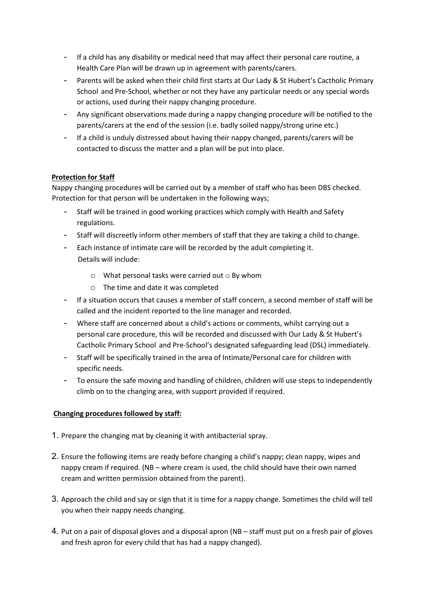- If a child has any disability or medical need that may affect their personal care routine, a Health Care Plan will be drawn up in agreement with parents/carers.
- Parents will be asked when their child first starts at Our Lady & St Hubert's Cactholic Primary School and Pre-School, whether or not they have any particular needs or any special words or actions, used during their nappy changing procedure.
- Any significant observations made during a nappy changing procedure will be notified to the parents/carers at the end of the session (i.e. badly soiled nappy/strong urine etc.)
- If a child is unduly distressed about having their nappy changed, parents/carers will be contacted to discuss the matter and a plan will be put into place.

#### Protection for Staff

Nappy changing procedures will be carried out by a member of staff who has been DBS checked. Protection for that person will be undertaken in the following ways;

- Staff will be trained in good working practices which comply with Health and Safety regulations.
- Staff will discreetly inform other members of staff that they are taking a child to change.
- Each instance of intimate care will be recorded by the adult completing it. Details will include:
	- $\circ$  What personal tasks were carried out  $\circ$  By whom
	- o The time and date it was completed
- If a situation occurs that causes a member of staff concern, a second member of staff will be called and the incident reported to the line manager and recorded.
- Where staff are concerned about a child's actions or comments, whilst carrying out a personal care procedure, this will be recorded and discussed with Our Lady & St Hubert's Cactholic Primary School and Pre-School's designated safeguarding lead (DSL) immediately.
- Staff will be specifically trained in the area of Intimate/Personal care for children with specific needs.
- To ensure the safe moving and handling of children, children will use steps to independently climb on to the changing area, with support provided if required.

#### Changing procedures followed by staff:

- 1. Prepare the changing mat by cleaning it with antibacterial spray.
- 2. Ensure the following items are ready before changing a child's nappy; clean nappy, wipes and nappy cream if required. (NB – where cream is used, the child should have their own named cream and written permission obtained from the parent).
- 3. Approach the child and say or sign that it is time for a nappy change. Sometimes the child will tell you when their nappy needs changing.
- 4. Put on a pair of disposal gloves and a disposal apron (NB staff must put on a fresh pair of gloves and fresh apron for every child that has had a nappy changed).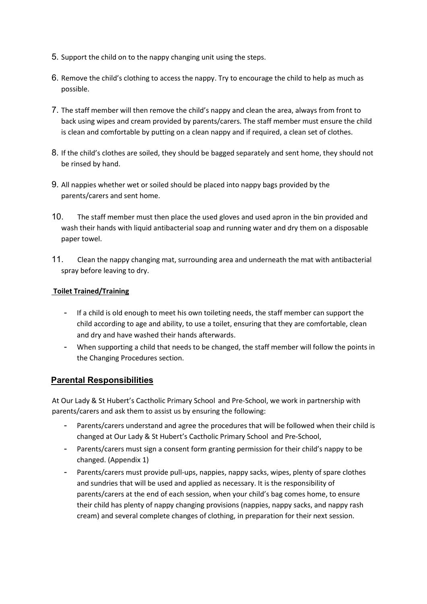- 5. Support the child on to the nappy changing unit using the steps.
- 6. Remove the child's clothing to access the nappy. Try to encourage the child to help as much as possible.
- 7. The staff member will then remove the child's nappy and clean the area, always from front to back using wipes and cream provided by parents/carers. The staff member must ensure the child is clean and comfortable by putting on a clean nappy and if required, a clean set of clothes.
- 8. If the child's clothes are soiled, they should be bagged separately and sent home, they should not be rinsed by hand.
- 9. All nappies whether wet or soiled should be placed into nappy bags provided by the parents/carers and sent home.
- 10. The staff member must then place the used gloves and used apron in the bin provided and wash their hands with liquid antibacterial soap and running water and dry them on a disposable paper towel.
- 11. Clean the nappy changing mat, surrounding area and underneath the mat with antibacterial spray before leaving to dry.

#### Toilet Trained/Training

- If a child is old enough to meet his own toileting needs, the staff member can support the child according to age and ability, to use a toilet, ensuring that they are comfortable, clean and dry and have washed their hands afterwards.
- When supporting a child that needs to be changed, the staff member will follow the points in the Changing Procedures section.

## Parental Responsibilities

At Our Lady & St Hubert's Cactholic Primary School and Pre-School, we work in partnership with parents/carers and ask them to assist us by ensuring the following:

- Parents/carers understand and agree the procedures that will be followed when their child is changed at Our Lady & St Hubert's Cactholic Primary School and Pre-School,
- Parents/carers must sign a consent form granting permission for their child's nappy to be changed. (Appendix 1)
- Parents/carers must provide pull-ups, nappies, nappy sacks, wipes, plenty of spare clothes and sundries that will be used and applied as necessary. It is the responsibility of parents/carers at the end of each session, when your child's bag comes home, to ensure their child has plenty of nappy changing provisions (nappies, nappy sacks, and nappy rash cream) and several complete changes of clothing, in preparation for their next session.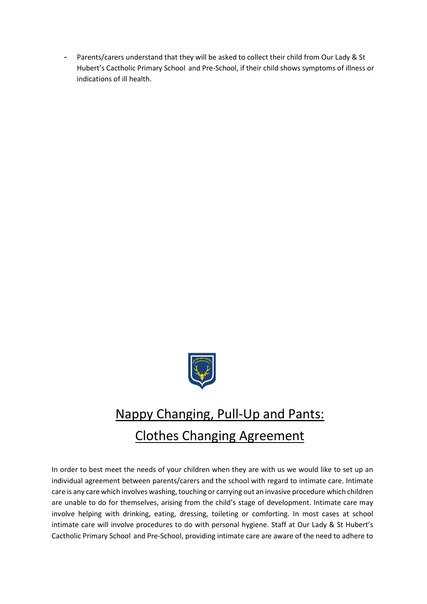- Parents/carers understand that they will be asked to collect their child from Our Lady & St Hubert's Cactholic Primary School and Pre-School, if their child shows symptoms of illness or indications of ill health.



# Nappy Changing, Pull-Up and Pants: Clothes Changing Agreement

In order to best meet the needs of your children when they are with us we would like to set up an individual agreement between parents/carers and the school with regard to intimate care. Intimate care is any care which involves washing, touching or carrying out an invasive procedure which children are unable to do for themselves, arising from the child's stage of development. Intimate care may involve helping with drinking, eating, dressing, toileting or comforting. In most cases at school intimate care will involve procedures to do with personal hygiene. Staff at Our Lady & St Hubert's Cactholic Primary School and Pre-School, providing intimate care are aware of the need to adhere to